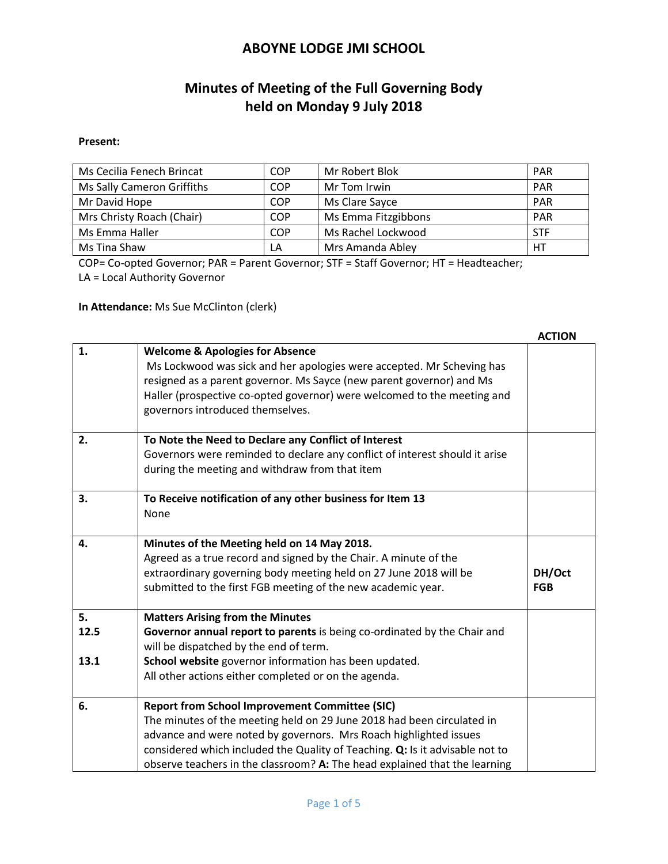# **Minutes of Meeting of the Full Governing Body held on Monday 9 July 2018**

#### **Present:**

| Ms Cecilia Fenech Brincat  | <b>COP</b> | Mr Robert Blok      | <b>PAR</b> |
|----------------------------|------------|---------------------|------------|
| Ms Sally Cameron Griffiths | <b>COP</b> | Mr Tom Irwin        | PAR        |
| Mr David Hope              | <b>COP</b> | Ms Clare Sayce      | <b>PAR</b> |
| Mrs Christy Roach (Chair)  | <b>COP</b> | Ms Emma Fitzgibbons | <b>PAR</b> |
| Ms Emma Haller             | <b>COP</b> | Ms Rachel Lockwood  | <b>STF</b> |
| Ms Tina Shaw               | LA         | Mrs Amanda Abley    | HT         |

COP= Co-opted Governor; PAR = Parent Governor; STF = Staff Governor; HT = Headteacher;

LA = Local Authority Governor

**In Attendance:** Ms Sue McClinton (clerk)

|                    |                                                                                                                                                                                                                                                                                                            | <b>ACTION</b>        |
|--------------------|------------------------------------------------------------------------------------------------------------------------------------------------------------------------------------------------------------------------------------------------------------------------------------------------------------|----------------------|
| 1.                 | <b>Welcome &amp; Apologies for Absence</b><br>Ms Lockwood was sick and her apologies were accepted. Mr Scheving has<br>resigned as a parent governor. Ms Sayce (new parent governor) and Ms<br>Haller (prospective co-opted governor) were welcomed to the meeting and<br>governors introduced themselves. |                      |
| 2.                 | To Note the Need to Declare any Conflict of Interest<br>Governors were reminded to declare any conflict of interest should it arise<br>during the meeting and withdraw from that item                                                                                                                      |                      |
| 3.                 | To Receive notification of any other business for Item 13<br>None                                                                                                                                                                                                                                          |                      |
| 4.                 | Minutes of the Meeting held on 14 May 2018.<br>Agreed as a true record and signed by the Chair. A minute of the<br>extraordinary governing body meeting held on 27 June 2018 will be<br>submitted to the first FGB meeting of the new academic year.                                                       | DH/Oct<br><b>FGB</b> |
| 5.<br>12.5<br>13.1 | <b>Matters Arising from the Minutes</b><br>Governor annual report to parents is being co-ordinated by the Chair and<br>will be dispatched by the end of term.<br>School website governor information has been updated.<br>All other actions either completed or on the agenda.                             |                      |
| 6.                 | <b>Report from School Improvement Committee (SIC)</b><br>The minutes of the meeting held on 29 June 2018 had been circulated in<br>advance and were noted by governors. Mrs Roach highlighted issues<br>considered which included the Quality of Teaching. Q: Is it advisable not to                       |                      |
|                    | observe teachers in the classroom? A: The head explained that the learning                                                                                                                                                                                                                                 |                      |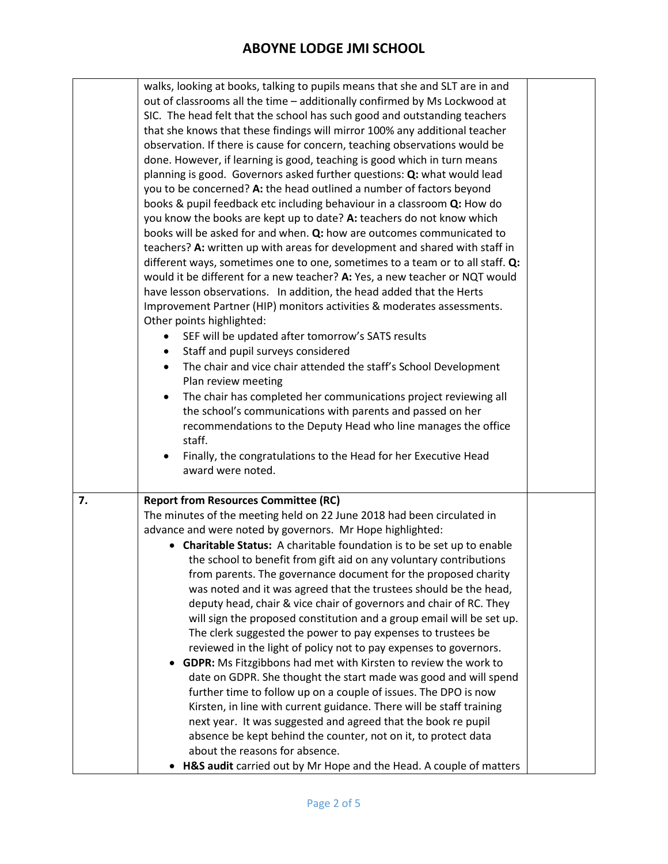|    | walks, looking at books, talking to pupils means that she and SLT are in and  |  |
|----|-------------------------------------------------------------------------------|--|
|    | out of classrooms all the time - additionally confirmed by Ms Lockwood at     |  |
|    | SIC. The head felt that the school has such good and outstanding teachers     |  |
|    | that she knows that these findings will mirror 100% any additional teacher    |  |
|    | observation. If there is cause for concern, teaching observations would be    |  |
|    | done. However, if learning is good, teaching is good which in turn means      |  |
|    | planning is good. Governors asked further questions: Q: what would lead       |  |
|    | you to be concerned? A: the head outlined a number of factors beyond          |  |
|    | books & pupil feedback etc including behaviour in a classroom Q: How do       |  |
|    | you know the books are kept up to date? A: teachers do not know which         |  |
|    | books will be asked for and when. Q: how are outcomes communicated to         |  |
|    | teachers? A: written up with areas for development and shared with staff in   |  |
|    | different ways, sometimes one to one, sometimes to a team or to all staff. Q: |  |
|    |                                                                               |  |
|    | would it be different for a new teacher? A: Yes, a new teacher or NQT would   |  |
|    | have lesson observations. In addition, the head added that the Herts          |  |
|    | Improvement Partner (HIP) monitors activities & moderates assessments.        |  |
|    | Other points highlighted:                                                     |  |
|    | SEF will be updated after tomorrow's SATS results                             |  |
|    | Staff and pupil surveys considered                                            |  |
|    | The chair and vice chair attended the staff's School Development              |  |
|    | Plan review meeting                                                           |  |
|    | The chair has completed her communications project reviewing all<br>$\bullet$ |  |
|    | the school's communications with parents and passed on her                    |  |
|    | recommendations to the Deputy Head who line manages the office                |  |
|    | staff.                                                                        |  |
|    | Finally, the congratulations to the Head for her Executive Head<br>$\bullet$  |  |
|    | award were noted.                                                             |  |
|    |                                                                               |  |
| 7. | <b>Report from Resources Committee (RC)</b>                                   |  |
|    | The minutes of the meeting held on 22 June 2018 had been circulated in        |  |
|    | advance and were noted by governors. Mr Hope highlighted:                     |  |
|    | Charitable Status: A charitable foundation is to be set up to enable          |  |
|    | the school to benefit from gift aid on any voluntary contributions            |  |
|    | from parents. The governance document for the proposed charity                |  |
|    | was noted and it was agreed that the trustees should be the head,             |  |
|    | deputy head, chair & vice chair of governors and chair of RC. They            |  |
|    | will sign the proposed constitution and a group email will be set up.         |  |
|    | The clerk suggested the power to pay expenses to trustees be                  |  |
|    | reviewed in the light of policy not to pay expenses to governors.             |  |
|    | GDPR: Ms Fitzgibbons had met with Kirsten to review the work to               |  |
|    | date on GDPR. She thought the start made was good and will spend              |  |
|    | further time to follow up on a couple of issues. The DPO is now               |  |
|    | Kirsten, in line with current guidance. There will be staff training          |  |
|    |                                                                               |  |
|    | next year. It was suggested and agreed that the book re pupil                 |  |
|    | absence be kept behind the counter, not on it, to protect data                |  |
|    | about the reasons for absence.                                                |  |
|    | H&S audit carried out by Mr Hope and the Head. A couple of matters            |  |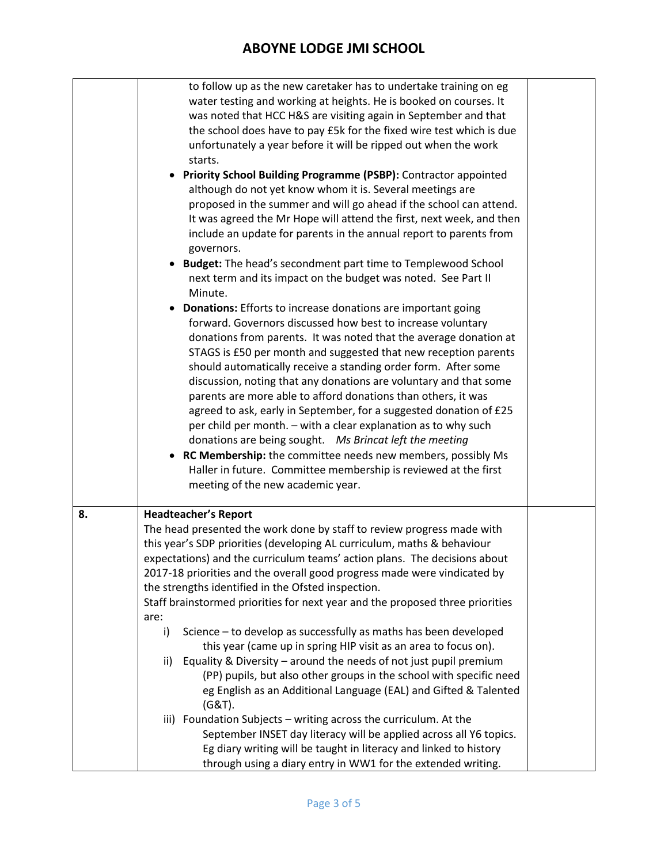|    | to follow up as the new caretaker has to undertake training on eg<br>water testing and working at heights. He is booked on courses. It |  |  |  |  |  |
|----|----------------------------------------------------------------------------------------------------------------------------------------|--|--|--|--|--|
|    | was noted that HCC H&S are visiting again in September and that                                                                        |  |  |  |  |  |
|    | the school does have to pay £5k for the fixed wire test which is due                                                                   |  |  |  |  |  |
|    | unfortunately a year before it will be ripped out when the work                                                                        |  |  |  |  |  |
|    | starts.                                                                                                                                |  |  |  |  |  |
|    | • Priority School Building Programme (PSBP): Contractor appointed                                                                      |  |  |  |  |  |
|    | although do not yet know whom it is. Several meetings are                                                                              |  |  |  |  |  |
|    | proposed in the summer and will go ahead if the school can attend.                                                                     |  |  |  |  |  |
|    | It was agreed the Mr Hope will attend the first, next week, and then                                                                   |  |  |  |  |  |
|    | include an update for parents in the annual report to parents from<br>governors.                                                       |  |  |  |  |  |
|    | • Budget: The head's secondment part time to Templewood School                                                                         |  |  |  |  |  |
|    | next term and its impact on the budget was noted. See Part II<br>Minute.                                                               |  |  |  |  |  |
|    | <b>Donations:</b> Efforts to increase donations are important going                                                                    |  |  |  |  |  |
|    | forward. Governors discussed how best to increase voluntary                                                                            |  |  |  |  |  |
|    | donations from parents. It was noted that the average donation at                                                                      |  |  |  |  |  |
|    | STAGS is £50 per month and suggested that new reception parents                                                                        |  |  |  |  |  |
|    | should automatically receive a standing order form. After some                                                                         |  |  |  |  |  |
|    | discussion, noting that any donations are voluntary and that some                                                                      |  |  |  |  |  |
|    | parents are more able to afford donations than others, it was                                                                          |  |  |  |  |  |
|    | agreed to ask, early in September, for a suggested donation of £25                                                                     |  |  |  |  |  |
|    | per child per month. - with a clear explanation as to why such                                                                         |  |  |  |  |  |
|    | donations are being sought.  Ms Brincat left the meeting                                                                               |  |  |  |  |  |
|    | • RC Membership: the committee needs new members, possibly Ms                                                                          |  |  |  |  |  |
|    | Haller in future. Committee membership is reviewed at the first                                                                        |  |  |  |  |  |
|    | meeting of the new academic year.                                                                                                      |  |  |  |  |  |
| 8. | <b>Headteacher's Report</b><br>The head presented the work done by staff to review progress made with                                  |  |  |  |  |  |
|    | this year's SDP priorities (developing AL curriculum, maths & behaviour                                                                |  |  |  |  |  |
|    | expectations) and the curriculum teams' action plans. The decisions about                                                              |  |  |  |  |  |
|    | 2017-18 priorities and the overall good progress made were vindicated by                                                               |  |  |  |  |  |
|    | the strengths identified in the Ofsted inspection.                                                                                     |  |  |  |  |  |
|    | Staff brainstormed priorities for next year and the proposed three priorities                                                          |  |  |  |  |  |
|    | are:                                                                                                                                   |  |  |  |  |  |
|    | Science - to develop as successfully as maths has been developed<br>i)                                                                 |  |  |  |  |  |
|    | this year (came up in spring HIP visit as an area to focus on).                                                                        |  |  |  |  |  |
|    | Equality & Diversity - around the needs of not just pupil premium<br>ii)                                                               |  |  |  |  |  |
|    | (PP) pupils, but also other groups in the school with specific need                                                                    |  |  |  |  |  |
|    | eg English as an Additional Language (EAL) and Gifted & Talented                                                                       |  |  |  |  |  |
|    | $(G&T)$ .                                                                                                                              |  |  |  |  |  |
|    | iii) Foundation Subjects - writing across the curriculum. At the                                                                       |  |  |  |  |  |
|    | September INSET day literacy will be applied across all Y6 topics.                                                                     |  |  |  |  |  |
|    | Eg diary writing will be taught in literacy and linked to history                                                                      |  |  |  |  |  |
|    | through using a diary entry in WW1 for the extended writing.                                                                           |  |  |  |  |  |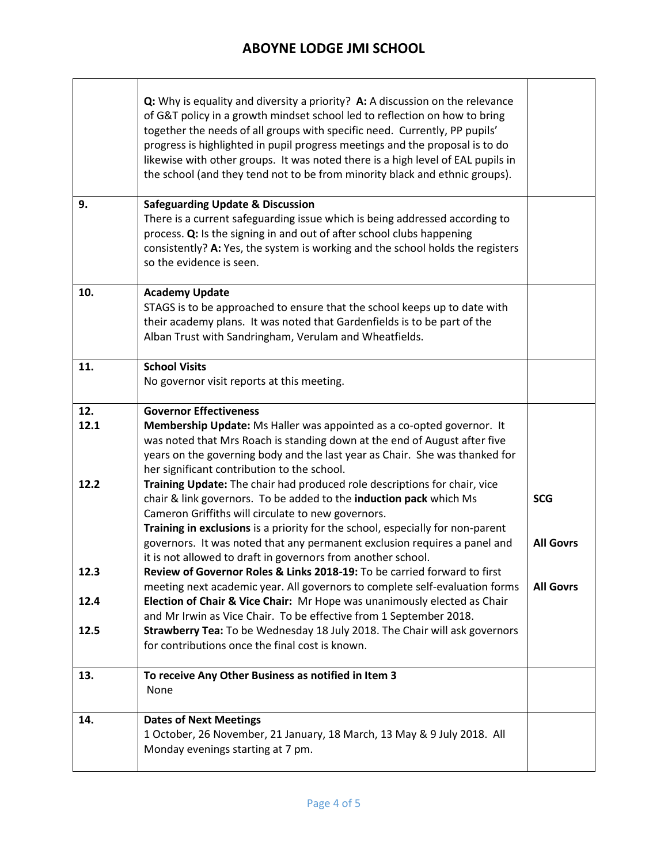|              | Q: Why is equality and diversity a priority? A: A discussion on the relevance<br>of G&T policy in a growth mindset school led to reflection on how to bring<br>together the needs of all groups with specific need. Currently, PP pupils'<br>progress is highlighted in pupil progress meetings and the proposal is to do<br>likewise with other groups. It was noted there is a high level of EAL pupils in<br>the school (and they tend not to be from minority black and ethnic groups). |                                |
|--------------|---------------------------------------------------------------------------------------------------------------------------------------------------------------------------------------------------------------------------------------------------------------------------------------------------------------------------------------------------------------------------------------------------------------------------------------------------------------------------------------------|--------------------------------|
| 9.           | <b>Safeguarding Update &amp; Discussion</b><br>There is a current safeguarding issue which is being addressed according to<br>process. Q: Is the signing in and out of after school clubs happening<br>consistently? A: Yes, the system is working and the school holds the registers<br>so the evidence is seen.                                                                                                                                                                           |                                |
| 10.          | <b>Academy Update</b><br>STAGS is to be approached to ensure that the school keeps up to date with<br>their academy plans. It was noted that Gardenfields is to be part of the<br>Alban Trust with Sandringham, Verulam and Wheatfields.                                                                                                                                                                                                                                                    |                                |
| 11.          | <b>School Visits</b><br>No governor visit reports at this meeting.                                                                                                                                                                                                                                                                                                                                                                                                                          |                                |
| 12.<br>12.1  | <b>Governor Effectiveness</b><br>Membership Update: Ms Haller was appointed as a co-opted governor. It<br>was noted that Mrs Roach is standing down at the end of August after five<br>years on the governing body and the last year as Chair. She was thanked for<br>her significant contribution to the school.                                                                                                                                                                           |                                |
| 12.2         | Training Update: The chair had produced role descriptions for chair, vice<br>chair & link governors. To be added to the induction pack which Ms<br>Cameron Griffiths will circulate to new governors.<br>Training in exclusions is a priority for the school, especially for non-parent<br>governors. It was noted that any permanent exclusion requires a panel and<br>it is not allowed to draft in governors from another school.                                                        | <b>SCG</b><br><b>All Govrs</b> |
| 12.3<br>12.4 | Review of Governor Roles & Links 2018-19: To be carried forward to first<br>meeting next academic year. All governors to complete self-evaluation forms<br>Election of Chair & Vice Chair: Mr Hope was unanimously elected as Chair<br>and Mr Irwin as Vice Chair. To be effective from 1 September 2018.                                                                                                                                                                                   | <b>All Govrs</b>               |
| 12.5         | Strawberry Tea: To be Wednesday 18 July 2018. The Chair will ask governors<br>for contributions once the final cost is known.                                                                                                                                                                                                                                                                                                                                                               |                                |
| 13.          | To receive Any Other Business as notified in Item 3<br>None                                                                                                                                                                                                                                                                                                                                                                                                                                 |                                |
| 14.          | <b>Dates of Next Meetings</b><br>1 October, 26 November, 21 January, 18 March, 13 May & 9 July 2018. All<br>Monday evenings starting at 7 pm.                                                                                                                                                                                                                                                                                                                                               |                                |